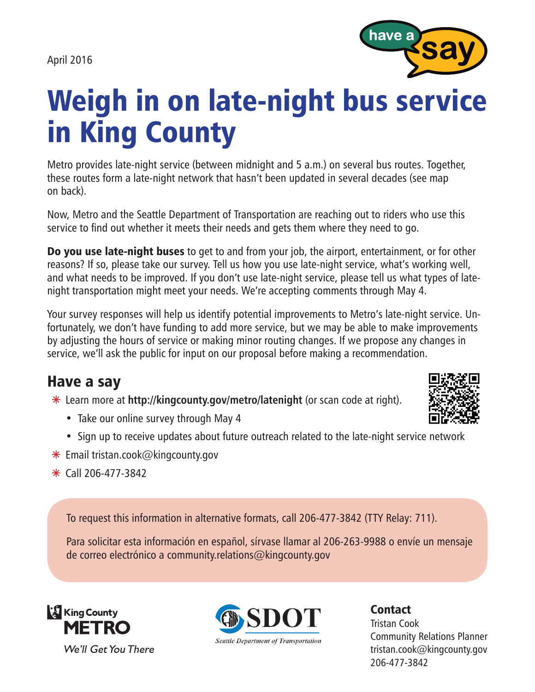April 2016



## Weigh in on late-night bus service in King County

Metro provides late-night service (between midnight and 5 a.m.) on several bus routes. Together, these routes form a late-night network that hasn't been updated in several decades (see map on back).

Now, Metro and the Seattle Department of Transportation are reaching out to riders who use this service to find out whether it meets their needs and gets them where they need to go.

**Do you use late-night buses** to get to and from your job, the airport, entertainment, or for other reasons? If so, please take our survey. Tell us how you use late-night service, what's working well, and what needs to be improved. If you don't use late-night service, please tell us what types of latenight transportation might meet your needs. We're accepting comments through May 4.

Your survey responses will help us identify potential improvements to Metro's late-night service. Unfortunately, we don't have funding to add more service, but we may be able to make improvements by adjusting the hours of service or making minor routing changes. If we propose any changes in service, we'll ask the public for input on our proposal before making a recommendation.

## Have a say

Ã Learn more at **http://kingcounty.gov/metro/latenight** (or scan code at right).



- Take our online survey through May 4
- Sign up to receive updates about future outreach related to the late-night service network
- $*$  Email tristan.cook@kingcounty.gov
- $\ast$  Call 206-477-3842

To request this information in alternative formats, call 206-477-3842 (TTY Relay: 711).

Para solicitar esta información en español, sírvase llamar al 206-263-9988 o envíe un mensaje de correo electrónico a community.relations@kingcounty.gov





**Seattle Department of Transportation** 

Contact

Tristan Cook Community Relations Planner tristan.cook@kingcounty.gov 206-477-3842